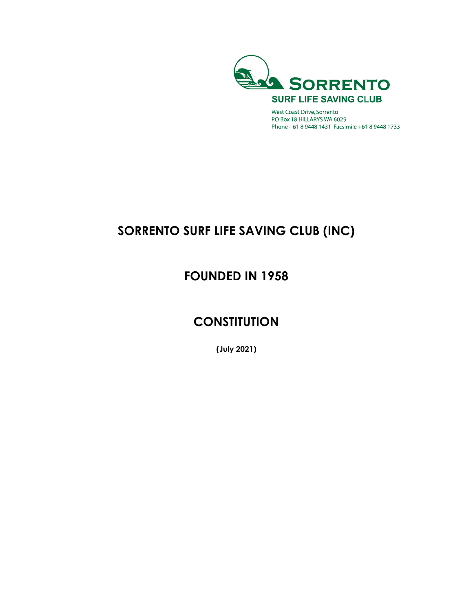

West Coast Drive, Sorrento PO Box 18 HILLARYS WA 6025 Phone +61 8 9448 1431 Facsimile +61 8 9448 1733

# **SORRENTO SURF LIFE SAVING CLUB (INC)**

# **FOUNDED IN 1958**

# **CONSTITUTION**

**(July 2021)**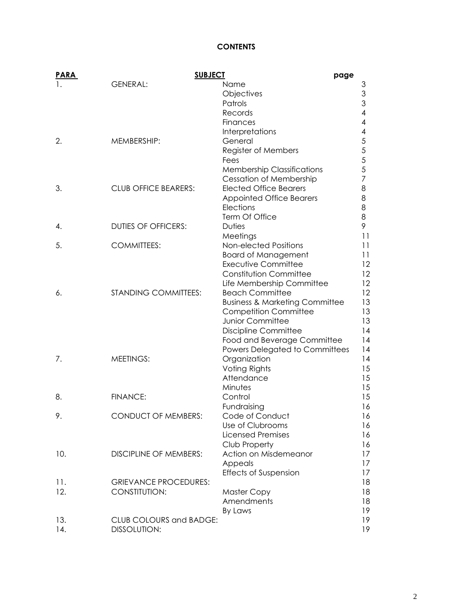# **CONTENTS**

| <b>PARA</b> | <b>SUBJECT</b>                | page                                      |                          |
|-------------|-------------------------------|-------------------------------------------|--------------------------|
| 1.          | <b>GENERAL:</b>               | Name                                      | З                        |
|             |                               | Objectives                                | 3                        |
|             |                               | Patrols                                   | 3                        |
|             |                               | Records                                   | $\overline{\mathcal{A}}$ |
|             |                               | Finances                                  | 4                        |
|             |                               | Interpretations                           | 4                        |
| 2.          | MEMBERSHIP:                   | General                                   | 5                        |
|             |                               | Register of Members                       | 5                        |
|             |                               | Fees                                      | 5                        |
|             |                               | <b>Membership Classifications</b>         | 5                        |
|             |                               | <b>Cessation of Membership</b>            | 7                        |
| 3.          | <b>CLUB OFFICE BEARERS:</b>   | <b>Elected Office Bearers</b>             | 8                        |
|             |                               | <b>Appointed Office Bearers</b>           | 8                        |
|             |                               | Elections                                 | 8                        |
|             |                               | Term Of Office                            | 8                        |
| 4.          | <b>DUTIES OF OFFICERS:</b>    | <b>Duties</b>                             | 9                        |
|             |                               | Meetings                                  | 11                       |
| 5.          | <b>COMMITTEES:</b>            | Non-elected Positions                     | 11                       |
|             |                               | <b>Board of Management</b>                | 11                       |
|             |                               | <b>Executive Committee</b>                | 12                       |
|             |                               | Constitution Committee                    | 12                       |
|             |                               | Life Membership Committee                 | 12                       |
| 6.          | <b>STANDING COMMITTEES:</b>   | <b>Beach Committee</b>                    | 12                       |
|             |                               | <b>Business &amp; Marketing Committee</b> | 13                       |
|             |                               | <b>Competition Committee</b>              | 13                       |
|             |                               | Junior Committee                          | 13                       |
|             |                               | <b>Discipline Committee</b>               | 14                       |
|             |                               | Food and Beverage Committee               | 14                       |
|             |                               | Powers Delegated to Committees            | 14                       |
| 7.          | <b>MEETINGS:</b>              | Organization                              | 14                       |
|             |                               | Voting Rights                             | 15                       |
|             |                               | Attendance                                | 15                       |
|             |                               | Minutes                                   | 15                       |
| 8.          | <b>FINANCE:</b>               | Control                                   | 15                       |
|             |                               | Fundraising                               | 16                       |
| 9.          | <b>CONDUCT OF MEMBERS:</b>    | Code of Conduct                           | 16                       |
|             |                               | Use of Clubrooms                          | 16                       |
|             |                               | <b>Licensed Premises</b>                  | 16                       |
|             |                               | Club Property                             | 16                       |
| 10.         | <b>DISCIPLINE OF MEMBERS:</b> | Action on Misdemeanor                     | 17                       |
|             |                               | Appeals                                   | 17                       |
|             |                               | <b>Effects of Suspension</b>              | 17                       |
| 11.         | <b>GRIEVANCE PROCEDURES:</b>  |                                           | 18                       |
| 12.         | CONSTITUTION:                 | <b>Master Copy</b>                        | 18                       |
|             |                               | Amendments                                | 18                       |
|             |                               | By Laws                                   | 19                       |
| 13.         | CLUB COLOURS and BADGE:       |                                           | 19                       |
| 14.         | <b>DISSOLUTION:</b>           |                                           | 19                       |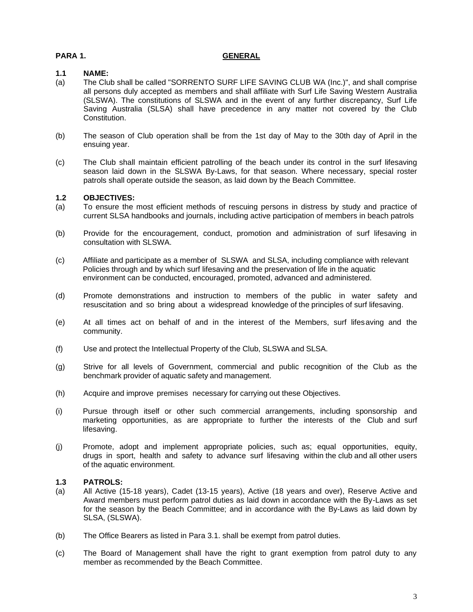#### **PARA 1. GENERAL**

#### **1.1 NAME:**

- (a) The Club shall be called "SORRENTO SURF LIFE SAVING CLUB WA (Inc.)", and shall comprise all persons duly accepted as members and shall affiliate with Surf Life Saving Western Australia (SLSWA). The constitutions of SLSWA and in the event of any further discrepancy, Surf Life Saving Australia (SLSA) shall have precedence in any matter not covered by the Club Constitution.
- (b) The season of Club operation shall be from the 1st day of May to the 30th day of April in the ensuing year.
- (c) The Club shall maintain efficient patrolling of the beach under its control in the surf lifesaving season laid down in the SLSWA By-Laws, for that season. Where necessary, special roster patrols shall operate outside the season, as laid down by the Beach Committee.

# **1.2 OBJECTIVES:**

- (a) To ensure the most efficient methods of rescuing persons in distress by study and practice of current SLSA handbooks and journals, including active participation of members in beach patrols
- (b) Provide for the encouragement, conduct, promotion and administration of surf lifesaving in consultation with SLSWA.
- (c) Affiliate and participate as a member of SLSWA and SLSA, including compliance with relevant Policies through and by which surf lifesaving and the preservation of life in the aquatic environment can be conducted, encouraged, promoted, advanced and administered.
- (d) Promote demonstrations and instruction to members of the public in water safety and resuscitation and so bring about a widespread knowledge of the principles of surf lifesaving.
- (e) At all times act on behalf of and in the interest of the Members, surf lifesaving and the community.
- (f) Use and protect the Intellectual Property of the Club, SLSWA and SLSA.
- (g) Strive for all levels of Government, commercial and public recognition of the Club as the benchmark provider of aquatic safety and management.
- (h) Acquire and improve premises necessary for carrying out these Objectives.
- (i) Pursue through itself or other such commercial arrangements, including sponsorship and marketing opportunities, as are appropriate to further the interests of the Club and surf lifesaving.
- (j) Promote, adopt and implement appropriate policies, such as; equal opportunities, equity, drugs in sport, health and safety to advance surf lifesaving within the club and all other users of the aquatic environment.

#### **1.3 PATROLS:**

- (a) All Active (15-18 years), Cadet (13-15 years), Active (18 years and over), Reserve Active and Award members must perform patrol duties as laid down in accordance with the By-Laws as set for the season by the Beach Committee; and in accordance with the By-Laws as laid down by SLSA, (SLSWA).
- (b) The Office Bearers as listed in Para 3.1. shall be exempt from patrol duties.
- (c) The Board of Management shall have the right to grant exemption from patrol duty to any member as recommended by the Beach Committee.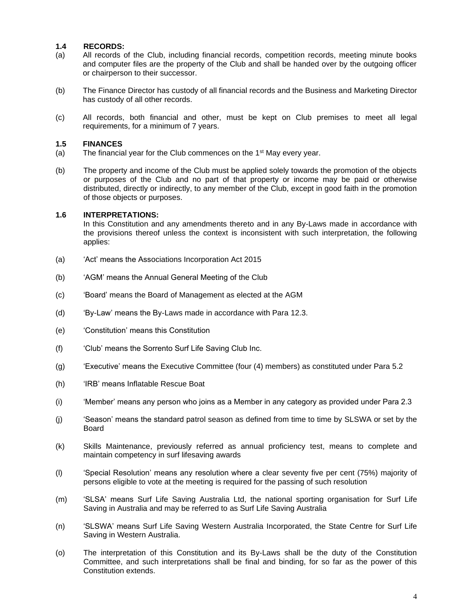#### **1.4 RECORDS:**

- (a) All records of the Club, including financial records, competition records, meeting minute books and computer files are the property of the Club and shall be handed over by the outgoing officer or chairperson to their successor.
- (b) The Finance Director has custody of all financial records and the Business and Marketing Director has custody of all other records.
- (c) All records, both financial and other, must be kept on Club premises to meet all legal requirements, for a minimum of 7 years.

#### **1.5 FINANCES**

- (a) The financial year for the Club commences on the  $1<sup>st</sup>$  May every year.
- (b) The property and income of the Club must be applied solely towards the promotion of the objects or purposes of the Club and no part of that property or income may be paid or otherwise distributed, directly or indirectly, to any member of the Club, except in good faith in the promotion of those objects or purposes.

#### **1.6 INTERPRETATIONS:**

In this Constitution and any amendments thereto and in any By-Laws made in accordance with the provisions thereof unless the context is inconsistent with such interpretation, the following applies:

- (a) 'Act' means the Associations Incorporation Act 2015
- (b) 'AGM' means the Annual General Meeting of the Club
- (c) 'Board' means the Board of Management as elected at the AGM
- (d) 'By-Law' means the By-Laws made in accordance with Para 12.3.
- (e) 'Constitution' means this Constitution
- (f) 'Club' means the Sorrento Surf Life Saving Club Inc.
- (g) 'Executive' means the Executive Committee (four (4) members) as constituted under Para 5.2
- (h) 'IRB' means Inflatable Rescue Boat
- (i) 'Member' means any person who joins as a Member in any category as provided under Para 2.3
- (j) 'Season' means the standard patrol season as defined from time to time by SLSWA or set by the Board
- (k) Skills Maintenance, previously referred as annual proficiency test, means to complete and maintain competency in surf lifesaving awards
- (l) 'Special Resolution' means any resolution where a clear seventy five per cent (75%) majority of persons eligible to vote at the meeting is required for the passing of such resolution
- (m) 'SLSA' means Surf Life Saving Australia Ltd, the national sporting organisation for Surf Life Saving in Australia and may be referred to as Surf Life Saving Australia
- (n) 'SLSWA' means Surf Life Saving Western Australia Incorporated, the State Centre for Surf Life Saving in Western Australia.
- (o) The interpretation of this Constitution and its By-Laws shall be the duty of the Constitution Committee, and such interpretations shall be final and binding, for so far as the power of this Constitution extends.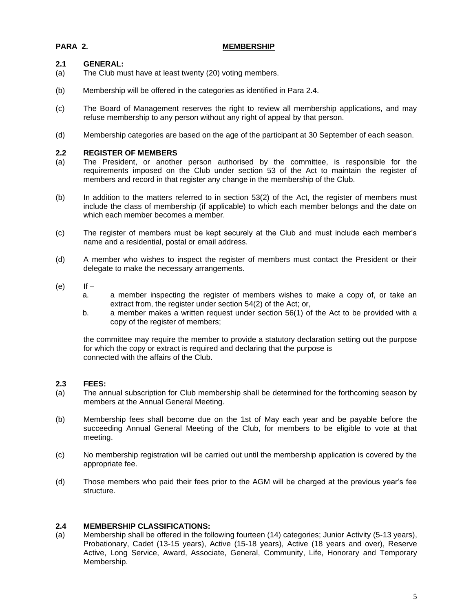# **PARA 2. MEMBERSHIP**

# **2.1 GENERAL:**

- (a) The Club must have at least twenty (20) voting members.
- (b) Membership will be offered in the categories as identified in Para 2.4.
- (c) The Board of Management reserves the right to review all membership applications, and may refuse membership to any person without any right of appeal by that person.
- (d) Membership categories are based on the age of the participant at 30 September of each season.

# **2.2 REGISTER OF MEMBERS**

- (a) The President, or another person authorised by the committee, is responsible for the requirements imposed on the Club under section 53 of the Act to maintain the register of members and record in that register any change in the membership of the Club.
- (b) In addition to the matters referred to in section 53(2) of the Act, the register of members must include the class of membership (if applicable) to which each member belongs and the date on which each member becomes a member.
- (c) The register of members must be kept securely at the Club and must include each member's name and a residential, postal or email address.
- (d) A member who wishes to inspect the register of members must contact the President or their delegate to make the necessary arrangements.
- $(e)$  If  $$ 
	- a. a member inspecting the register of members wishes to make a copy of, or take an extract from, the register under section 54(2) of the Act; or,
	- b. a member makes a written request under section 56(1) of the Act to be provided with a copy of the register of members;

the committee may require the member to provide a statutory declaration setting out the purpose for which the copy or extract is required and declaring that the purpose is connected with the affairs of the Club.

# **2.3 FEES:**

- (a) The annual subscription for Club membership shall be determined for the forthcoming season by members at the Annual General Meeting.
- (b) Membership fees shall become due on the 1st of May each year and be payable before the succeeding Annual General Meeting of the Club, for members to be eligible to vote at that meeting.
- (c) No membership registration will be carried out until the membership application is covered by the appropriate fee.
- (d) Those members who paid their fees prior to the AGM will be charged at the previous year's fee structure.

# **2.4 MEMBERSHIP CLASSIFICATIONS:**

(a) Membership shall be offered in the following fourteen (14) categories; Junior Activity (5-13 years), Probationary, Cadet (13-15 years), Active (15-18 years), Active (18 years and over), Reserve Active, Long Service, Award, Associate, General, Community, Life, Honorary and Temporary Membership.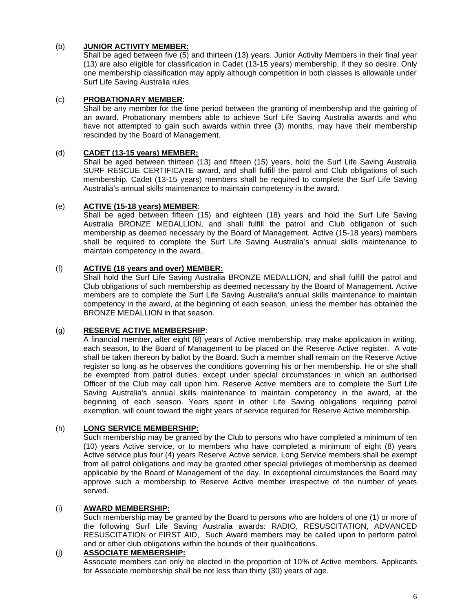# (b) **JUNIOR ACTIVITY MEMBER:**

Shall be aged between five (5) and thirteen (13) years. Junior Activity Members in their final year (13) are also eligible for classification in Cadet (13-15 years) membership, if they so desire. Only one membership classification may apply although competition in both classes is allowable under Surf Life Saving Australia rules.

#### (c) **PROBATIONARY MEMBER**:

Shall be any member for the time period between the granting of membership and the gaining of an award. Probationary members able to achieve Surf Life Saving Australia awards and who have not attempted to gain such awards within three (3) months, may have their membership rescinded by the Board of Management.

# (d) **CADET (13-15 years) MEMBER:**

Shall be aged between thirteen (13) and fifteen (15) years, hold the Surf Life Saving Australia SURF RESCUE CERTIFICATE award, and shall fulfill the patrol and Club obligations of such membership. Cadet (13-15 years) members shall be required to complete the Surf Life Saving Australia's annual skills maintenance to maintain competency in the award.

# (e) **ACTIVE (15-18 years) MEMBER**:

Shall be aged between fifteen (15) and eighteen (18) years and hold the Surf Life Saving Australia BRONZE MEDALLION, and shall fulfill the patrol and Club obligation of such membership as deemed necessary by the Board of Management. Active (15-18 years) members shall be required to complete the Surf Life Saving Australia's annual skills maintenance to maintain competency in the award.

# (f) **ACTIVE (18 years and over) MEMBER:**

Shall hold the Surf Life Saving Australia BRONZE MEDALLION, and shall fulfill the patrol and Club obligations of such membership as deemed necessary by the Board of Management. Active members are to complete the Surf Life Saving Australia's annual skills maintenance to maintain competency in the award, at the beginning of each season, unless the member has obtained the BRONZE MEDALLION in that season.

## (g) **RESERVE ACTIVE MEMBERSHIP**:

A financial member, after eight (8) years of Active membership, may make application in writing, each season, to the Board of Management to be placed on the Reserve Active register. A vote shall be taken thereon by ballot by the Board. Such a member shall remain on the Reserve Active register so long as he observes the conditions governing his or her membership. He or she shall be exempted from patrol duties, except under special circumstances in which an authorised Officer of the Club may call upon him. Reserve Active members are to complete the Surf Life Saving Australia's annual skills maintenance to maintain competency in the award, at the beginning of each season. Years spent in other Life Saving obligations requiring patrol exemption, will count toward the eight years of service required for Reserve Active membership.

# (h) **LONG SERVICE MEMBERSHIP:**

Such membership may be granted by the Club to persons who have completed a minimum of ten (10) years Active service, or to members who have completed a minimum of eight (8) years Active service plus four (4) years Reserve Active service. Long Service members shall be exempt from all patrol obligations and may be granted other special privileges of membership as deemed applicable by the Board of Management of the day. In exceptional circumstances the Board may approve such a membership to Reserve Active member irrespective of the number of years served.

#### (i) **AWARD MEMBERSHIP:**

Such membership may be granted by the Board to persons who are holders of one (1) or more of the following Surf Life Saving Australia awards: RADIO, RESUSCITATION, ADVANCED RESUSCITATION or FIRST AID, Such Award members may be called upon to perform patrol and or other club obligations within the bounds of their qualifications.

#### (j) **ASSOCIATE MEMBERSHIP:**

Associate members can only be elected in the proportion of 10% of Active members. Applicants for Associate membership shall be not less than thirty (30) years of age.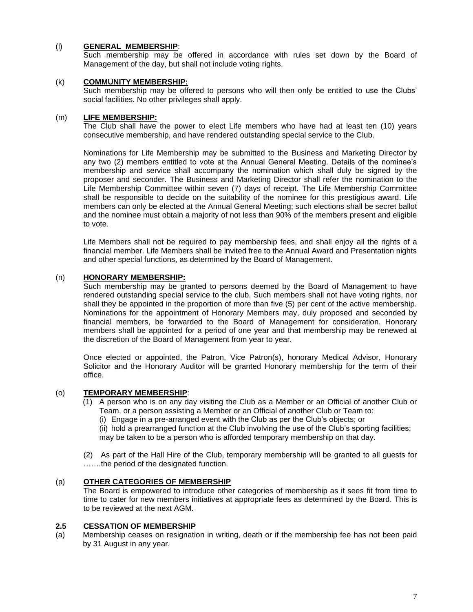# (l) **GENERAL MEMBERSHIP**:

Such membership may be offered in accordance with rules set down by the Board of Management of the day, but shall not include voting rights.

# (k) **COMMUNITY MEMBERSHIP:**

Such membership may be offered to persons who will then only be entitled to use the Clubs' social facilities. No other privileges shall apply.

# (m) **LIFE MEMBERSHIP:**

The Club shall have the power to elect Life members who have had at least ten (10) years consecutive membership, and have rendered outstanding special service to the Club.

Nominations for Life Membership may be submitted to the Business and Marketing Director by any two (2) members entitled to vote at the Annual General Meeting. Details of the nominee's membership and service shall accompany the nomination which shall duly be signed by the proposer and seconder. The Business and Marketing Director shall refer the nomination to the Life Membership Committee within seven (7) days of receipt. The Life Membership Committee shall be responsible to decide on the suitability of the nominee for this prestigious award. Life members can only be elected at the Annual General Meeting; such elections shall be secret ballot and the nominee must obtain a majority of not less than 90% of the members present and eligible to vote.

Life Members shall not be required to pay membership fees, and shall enjoy all the rights of a financial member. Life Members shall be invited free to the Annual Award and Presentation nights and other special functions, as determined by the Board of Management.

#### (n) **HONORARY MEMBERSHIP:**

Such membership may be granted to persons deemed by the Board of Management to have rendered outstanding special service to the club. Such members shall not have voting rights, nor shall they be appointed in the proportion of more than five (5) per cent of the active membership. Nominations for the appointment of Honorary Members may, duly proposed and seconded by financial members, be forwarded to the Board of Management for consideration. Honorary members shall be appointed for a period of one year and that membership may be renewed at the discretion of the Board of Management from year to year.

Once elected or appointed, the Patron, Vice Patron(s), honorary Medical Advisor, Honorary Solicitor and the Honorary Auditor will be granted Honorary membership for the term of their office.

# (o) **TEMPORARY MEMBERSHIP**:

- (1) A person who is on any day visiting the Club as a Member or an Official of another Club or Team, or a person assisting a Member or an Official of another Club or Team to:
	- (i) Engage in a pre-arranged event with the Club as per the Club's objects; or

(ii) hold a prearranged function at the Club involving the use of the Club's sporting facilities; may be taken to be a person who is afforded temporary membership on that day.

(2) As part of the Hall Hire of the Club, temporary membership will be granted to all guests for …….the period of the designated function.

# (p) **OTHER CATEGORIES OF MEMBERSHIP**

The Board is empowered to introduce other categories of membership as it sees fit from time to time to cater for new members initiatives at appropriate fees as determined by the Board. This is to be reviewed at the next AGM.

#### **2.5 CESSATION OF MEMBERSHIP**

(a) Membership ceases on resignation in writing, death or if the membership fee has not been paid by 31 August in any year.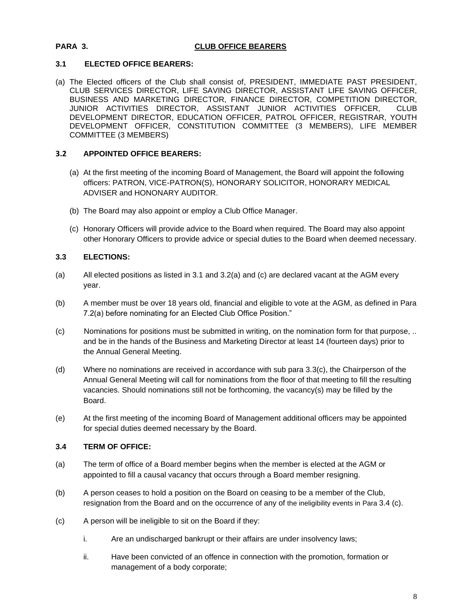# **PARA 3. CLUB OFFICE BEARERS**

# **3.1 ELECTED OFFICE BEARERS:**

(a) The Elected officers of the Club shall consist of, PRESIDENT, IMMEDIATE PAST PRESIDENT, CLUB SERVICES DIRECTOR, LIFE SAVING DIRECTOR, ASSISTANT LIFE SAVING OFFICER, BUSINESS AND MARKETING DIRECTOR, FINANCE DIRECTOR, COMPETITION DIRECTOR, JUNIOR ACTIVITIES DIRECTOR, ASSISTANT JUNIOR ACTIVITIES OFFICER, CLUB DEVELOPMENT DIRECTOR, EDUCATION OFFICER, PATROL OFFICER, REGISTRAR, YOUTH DEVELOPMENT OFFICER, CONSTITUTION COMMITTEE (3 MEMBERS), LIFE MEMBER COMMITTEE (3 MEMBERS)

# **3.2 APPOINTED OFFICE BEARERS:**

- (a) At the first meeting of the incoming Board of Management, the Board will appoint the following officers: PATRON, VICE-PATRON(S), HONORARY SOLICITOR, HONORARY MEDICAL ADVISER and HONONARY AUDITOR.
- (b) The Board may also appoint or employ a Club Office Manager.
- (c) Honorary Officers will provide advice to the Board when required. The Board may also appoint other Honorary Officers to provide advice or special duties to the Board when deemed necessary.

# **3.3 ELECTIONS:**

- (a) All elected positions as listed in 3.1 and 3.2(a) and (c) are declared vacant at the AGM every year.
- (b) A member must be over 18 years old, financial and eligible to vote at the AGM, as defined in Para 7.2(a) before nominating for an Elected Club Office Position."
- (c) Nominations for positions must be submitted in writing, on the nomination form for that purpose, .. and be in the hands of the Business and Marketing Director at least 14 (fourteen days) prior to the Annual General Meeting.
- (d) Where no nominations are received in accordance with sub para 3.3(c), the Chairperson of the Annual General Meeting will call for nominations from the floor of that meeting to fill the resulting vacancies. Should nominations still not be forthcoming, the vacancy(s) may be filled by the Board.
- (e) At the first meeting of the incoming Board of Management additional officers may be appointed for special duties deemed necessary by the Board.

# **3.4 TERM OF OFFICE:**

- (a) The term of office of a Board member begins when the member is elected at the AGM or appointed to fill a causal vacancy that occurs through a Board member resigning.
- (b) A person ceases to hold a position on the Board on ceasing to be a member of the Club, resignation from the Board and on the occurrence of any of the ineligibility events in Para 3.4 (c).
- (c) A person will be ineligible to sit on the Board if they:
	- i. Are an undischarged bankrupt or their affairs are under insolvency laws;
	- ii. Have been convicted of an offence in connection with the promotion, formation or management of a body corporate;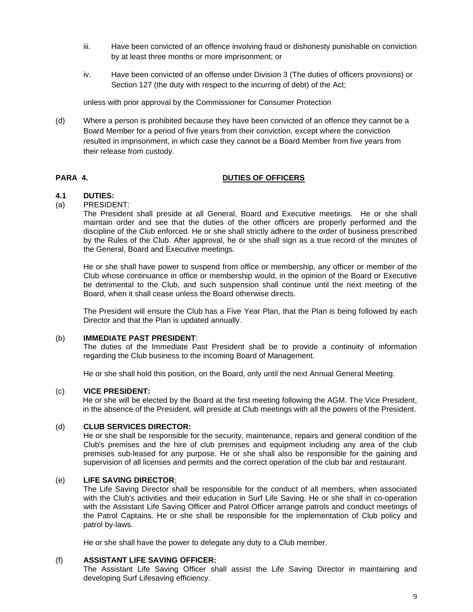- iii. Have been convicted of an offence involving fraud or dishonesty punishable on conviction by at least three months or more imprisonment; or
- iv. Have been convicted of an offense under Division 3 (The duties of officers provisions) or Section 127 (the duty with respect to the incurring of debt) of the Act;

unless with prior approval by the Commissioner for Consumer Protection

(d) Where a person is prohibited because they have been convicted of an offence they cannot be a Board Member for a period of five years from their conviction, except where the conviction resulted in imprisonment, in which case they cannot be a Board Member from five years from their release from custody.

# **PARA 4. DUTIES OF OFFICERS**

# **4.1 DUTIES:**

# (a) PRESIDENT:

The President shall preside at all General, Board and Executive meetings. He or she shall maintain order and see that the duties of the other officers are properly performed and the discipline of the Club enforced. He or she shall strictly adhere to the order of business prescribed by the Rules of the Club. After approval, he or she shall sign as a true record of the minutes of the General, Board and Executive meetings.

He or she shall have power to suspend from office or membership, any officer or member of the Club whose continuance in office or membership would, in the opinion of the Board or Executive be detrimental to the Club, and such suspension shall continue until the next meeting of the Board, when it shall cease unless the Board otherwise directs.

The President will ensure the Club has a Five Year Plan, that the Plan is being followed by each Director and that the Plan is updated annually.

#### (b) **IMMEDIATE PAST PRESIDENT**:

The duties of the Immediate Past President shall be to provide a continuity of information regarding the Club business to the incoming Board of Management.

He or she shall hold this position, on the Board, only until the next Annual General Meeting.

#### (c) **VICE PRESIDENT:**

He or she will be elected by the Board at the first meeting following the AGM. The Vice President, in the absence of the President, will preside at Club meetings with all the powers of the President.

#### (d) **CLUB SERVICES DIRECTOR:**

He or she shall be responsible for the security, maintenance, repairs and general condition of the Club's premises and the hire of club premises and equipment including any area of the club premises sub-leased for any purpose. He or she shall also be responsible for the gaining and supervision of all licenses and permits and the correct operation of the club bar and restaurant.

#### (e) **LIFE SAVING DIRECTOR**:

The Life Saving Director shall be responsible for the conduct of all members, when associated with the Club's activities and their education in Surf Life Saving. He or she shall in co-operation with the Assistant Life Saving Officer and Patrol Officer arrange patrols and conduct meetings of the Patrol Captains. He or she shall be responsible for the implementation of Club policy and patrol by-laws.

He or she shall have the power to delegate any duty to a Club member.

# (f) **ASSISTANT LIFE SAVING OFFICER:**

The Assistant Life Saving Officer shall assist the Life Saving Director in maintaining and developing Surf Lifesaving efficiency.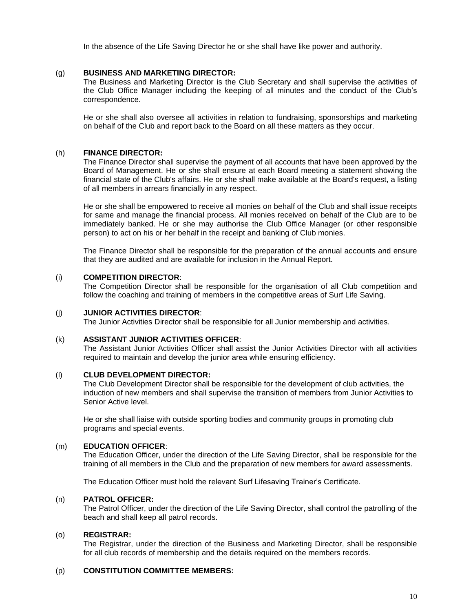In the absence of the Life Saving Director he or she shall have like power and authority.

# (g) **BUSINESS AND MARKETING DIRECTOR:**

The Business and Marketing Director is the Club Secretary and shall supervise the activities of the Club Office Manager including the keeping of all minutes and the conduct of the Club's correspondence.

He or she shall also oversee all activities in relation to fundraising, sponsorships and marketing on behalf of the Club and report back to the Board on all these matters as they occur.

# (h) **FINANCE DIRECTOR:**

The Finance Director shall supervise the payment of all accounts that have been approved by the Board of Management. He or she shall ensure at each Board meeting a statement showing the financial state of the Club's affairs. He or she shall make available at the Board's request, a listing of all members in arrears financially in any respect.

He or she shall be empowered to receive all monies on behalf of the Club and shall issue receipts for same and manage the financial process. All monies received on behalf of the Club are to be immediately banked. He or she may authorise the Club Office Manager (or other responsible person) to act on his or her behalf in the receipt and banking of Club monies.

The Finance Director shall be responsible for the preparation of the annual accounts and ensure that they are audited and are available for inclusion in the Annual Report.

#### (i) **COMPETITION DIRECTOR**:

The Competition Director shall be responsible for the organisation of all Club competition and follow the coaching and training of members in the competitive areas of Surf Life Saving.

#### (j) **JUNIOR ACTIVITIES DIRECTOR**:

The Junior Activities Director shall be responsible for all Junior membership and activities.

#### (k) **ASSISTANT JUNIOR ACTIVITIES OFFICER**:

The Assistant Junior Activities Officer shall assist the Junior Activities Director with all activities required to maintain and develop the junior area while ensuring efficiency.

#### (l) **CLUB DEVELOPMENT DIRECTOR:**

The Club Development Director shall be responsible for the development of club activities, the induction of new members and shall supervise the transition of members from Junior Activities to Senior Active level.

He or she shall liaise with outside sporting bodies and community groups in promoting club programs and special events.

#### (m) **EDUCATION OFFICER**:

The Education Officer, under the direction of the Life Saving Director, shall be responsible for the training of all members in the Club and the preparation of new members for award assessments.

The Education Officer must hold the relevant Surf Lifesaving Trainer's Certificate.

# (n) **PATROL OFFICER:**

The Patrol Officer, under the direction of the Life Saving Director, shall control the patrolling of the beach and shall keep all patrol records.

# (o) **REGISTRAR:**

The Registrar, under the direction of the Business and Marketing Director, shall be responsible for all club records of membership and the details required on the members records.

# (p) **CONSTITUTION COMMITTEE MEMBERS:**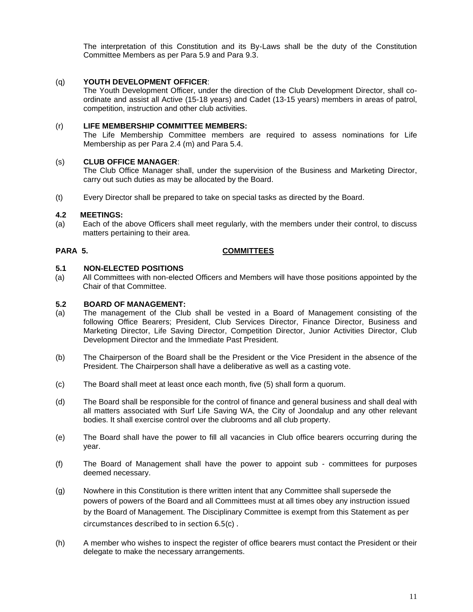The interpretation of this Constitution and its By-Laws shall be the duty of the Constitution Committee Members as per Para 5.9 and Para 9.3.

# (q) **YOUTH DEVELOPMENT OFFICER**:

The Youth Development Officer, under the direction of the Club Development Director, shall coordinate and assist all Active (15-18 years) and Cadet (13-15 years) members in areas of patrol, competition, instruction and other club activities.

#### (r) **LIFE MEMBERSHIP COMMITTEE MEMBERS:**

The Life Membership Committee members are required to assess nominations for Life Membership as per Para 2.4 (m) and Para 5.4.

#### (s) **CLUB OFFICE MANAGER**:

The Club Office Manager shall, under the supervision of the Business and Marketing Director, carry out such duties as may be allocated by the Board.

(t) Every Director shall be prepared to take on special tasks as directed by the Board.

# **4.2 MEETINGS:**

(a) Each of the above Officers shall meet regularly, with the members under their control, to discuss matters pertaining to their area.

# **PARA 5. COMMITTEES**

# **5.1 NON-ELECTED POSITIONS**

(a) All Committees with non-elected Officers and Members will have those positions appointed by the Chair of that Committee.

#### **5.2 BOARD OF MANAGEMENT:**

- (a) The management of the Club shall be vested in a Board of Management consisting of the following Office Bearers; President, Club Services Director, Finance Director, Business and Marketing Director, Life Saving Director, Competition Director, Junior Activities Director, Club Development Director and the Immediate Past President.
- (b) The Chairperson of the Board shall be the President or the Vice President in the absence of the President. The Chairperson shall have a deliberative as well as a casting vote.
- (c) The Board shall meet at least once each month, five (5) shall form a quorum.
- (d) The Board shall be responsible for the control of finance and general business and shall deal with all matters associated with Surf Life Saving WA, the City of Joondalup and any other relevant bodies. It shall exercise control over the clubrooms and all club property.
- (e) The Board shall have the power to fill all vacancies in Club office bearers occurring during the year.
- (f) The Board of Management shall have the power to appoint sub committees for purposes deemed necessary.
- (g) Nowhere in this Constitution is there written intent that any Committee shall supersede the powers of powers of the Board and all Committees must at all times obey any instruction issued by the Board of Management. The Disciplinary Committee is exempt from this Statement as per circumstances described to in section 6.5(c) .
- (h) A member who wishes to inspect the register of office bearers must contact the President or their delegate to make the necessary arrangements.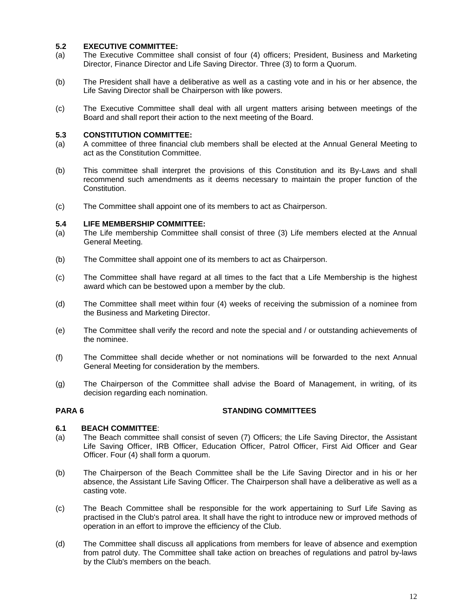### **5.2 EXECUTIVE COMMITTEE:**

- (a) The Executive Committee shall consist of four (4) officers; President, Business and Marketing Director, Finance Director and Life Saving Director. Three (3) to form a Quorum.
- (b) The President shall have a deliberative as well as a casting vote and in his or her absence, the Life Saving Director shall be Chairperson with like powers.
- (c) The Executive Committee shall deal with all urgent matters arising between meetings of the Board and shall report their action to the next meeting of the Board.

# **5.3 CONSTITUTION COMMITTEE:**

- (a) A committee of three financial club members shall be elected at the Annual General Meeting to act as the Constitution Committee.
- (b) This committee shall interpret the provisions of this Constitution and its By-Laws and shall recommend such amendments as it deems necessary to maintain the proper function of the Constitution.
- (c) The Committee shall appoint one of its members to act as Chairperson.

#### **5.4 LIFE MEMBERSHIP COMMITTEE:**

- (a) The Life membership Committee shall consist of three (3) Life members elected at the Annual General Meeting.
- (b) The Committee shall appoint one of its members to act as Chairperson.
- (c) The Committee shall have regard at all times to the fact that a Life Membership is the highest award which can be bestowed upon a member by the club.
- (d) The Committee shall meet within four (4) weeks of receiving the submission of a nominee from the Business and Marketing Director.
- (e) The Committee shall verify the record and note the special and / or outstanding achievements of the nominee.
- (f) The Committee shall decide whether or not nominations will be forwarded to the next Annual General Meeting for consideration by the members.
- (g) The Chairperson of the Committee shall advise the Board of Management, in writing, of its decision regarding each nomination.

#### **PARA 6 STANDING COMMITTEES**

#### **6.1 BEACH COMMITTEE**:

- (a) The Beach committee shall consist of seven (7) Officers; the Life Saving Director, the Assistant Life Saving Officer, IRB Officer, Education Officer, Patrol Officer, First Aid Officer and Gear Officer. Four (4) shall form a quorum.
- (b) The Chairperson of the Beach Committee shall be the Life Saving Director and in his or her absence, the Assistant Life Saving Officer. The Chairperson shall have a deliberative as well as a casting vote.
- (c) The Beach Committee shall be responsible for the work appertaining to Surf Life Saving as practised in the Club's patrol area. It shall have the right to introduce new or improved methods of operation in an effort to improve the efficiency of the Club.
- (d) The Committee shall discuss all applications from members for leave of absence and exemption from patrol duty. The Committee shall take action on breaches of regulations and patrol by-laws by the Club's members on the beach.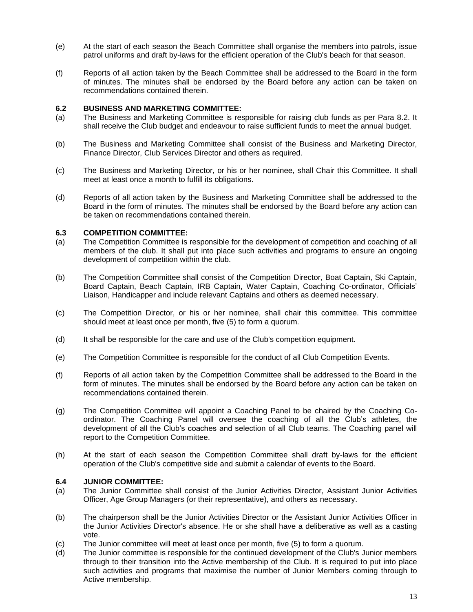- (e) At the start of each season the Beach Committee shall organise the members into patrols, issue patrol uniforms and draft by-laws for the efficient operation of the Club's beach for that season.
- (f) Reports of all action taken by the Beach Committee shall be addressed to the Board in the form of minutes. The minutes shall be endorsed by the Board before any action can be taken on recommendations contained therein.

# **6.2 BUSINESS AND MARKETING COMMITTEE:**

- (a) The Business and Marketing Committee is responsible for raising club funds as per Para 8.2. It shall receive the Club budget and endeavour to raise sufficient funds to meet the annual budget.
- (b) The Business and Marketing Committee shall consist of the Business and Marketing Director, Finance Director, Club Services Director and others as required.
- (c) The Business and Marketing Director, or his or her nominee, shall Chair this Committee. It shall meet at least once a month to fulfill its obligations.
- (d) Reports of all action taken by the Business and Marketing Committee shall be addressed to the Board in the form of minutes. The minutes shall be endorsed by the Board before any action can be taken on recommendations contained therein.

# **6.3 COMPETITION COMMITTEE:**

- (a) The Competition Committee is responsible for the development of competition and coaching of all members of the club. It shall put into place such activities and programs to ensure an ongoing development of competition within the club.
- (b) The Competition Committee shall consist of the Competition Director, Boat Captain, Ski Captain, Board Captain, Beach Captain, IRB Captain, Water Captain, Coaching Co-ordinator, Officials' Liaison, Handicapper and include relevant Captains and others as deemed necessary.
- (c) The Competition Director, or his or her nominee, shall chair this committee. This committee should meet at least once per month, five (5) to form a quorum.
- (d) It shall be responsible for the care and use of the Club's competition equipment.
- (e) The Competition Committee is responsible for the conduct of all Club Competition Events.
- (f) Reports of all action taken by the Competition Committee shall be addressed to the Board in the form of minutes. The minutes shall be endorsed by the Board before any action can be taken on recommendations contained therein.
- (g) The Competition Committee will appoint a Coaching Panel to be chaired by the Coaching Coordinator. The Coaching Panel will oversee the coaching of all the Club's athletes, the development of all the Club's coaches and selection of all Club teams. The Coaching panel will report to the Competition Committee.
- (h) At the start of each season the Competition Committee shall draft by-laws for the efficient operation of the Club's competitive side and submit a calendar of events to the Board.

#### **6.4 JUNIOR COMMITTEE:**

- (a) The Junior Committee shall consist of the Junior Activities Director, Assistant Junior Activities Officer, Age Group Managers (or their representative), and others as necessary.
- (b) The chairperson shall be the Junior Activities Director or the Assistant Junior Activities Officer in the Junior Activities Director's absence. He or she shall have a deliberative as well as a casting vote.
- (c) The Junior committee will meet at least once per month, five (5) to form a quorum.
- (d) The Junior committee is responsible for the continued development of the Club's Junior members through to their transition into the Active membership of the Club. It is required to put into place such activities and programs that maximise the number of Junior Members coming through to Active membership.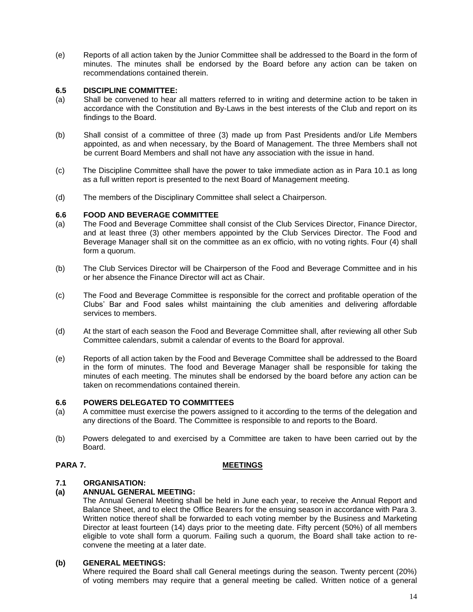(e) Reports of all action taken by the Junior Committee shall be addressed to the Board in the form of minutes. The minutes shall be endorsed by the Board before any action can be taken on recommendations contained therein.

# **6.5 DISCIPLINE COMMITTEE:**

- (a) Shall be convened to hear all matters referred to in writing and determine action to be taken in accordance with the Constitution and By-Laws in the best interests of the Club and report on its findings to the Board.
- (b) Shall consist of a committee of three (3) made up from Past Presidents and/or Life Members appointed, as and when necessary, by the Board of Management. The three Members shall not be current Board Members and shall not have any association with the issue in hand.
- (c) The Discipline Committee shall have the power to take immediate action as in Para 10.1 as long as a full written report is presented to the next Board of Management meeting.
- (d) The members of the Disciplinary Committee shall select a Chairperson.

# **6.6 FOOD AND BEVERAGE COMMITTEE**

- (a) The Food and Beverage Committee shall consist of the Club Services Director, Finance Director, and at least three (3) other members appointed by the Club Services Director. The Food and Beverage Manager shall sit on the committee as an ex officio, with no voting rights. Four (4) shall form a quorum.
- (b) The Club Services Director will be Chairperson of the Food and Beverage Committee and in his or her absence the Finance Director will act as Chair.
- (c) The Food and Beverage Committee is responsible for the correct and profitable operation of the Clubs' Bar and Food sales whilst maintaining the club amenities and delivering affordable services to members.
- (d) At the start of each season the Food and Beverage Committee shall, after reviewing all other Sub Committee calendars, submit a calendar of events to the Board for approval.
- (e) Reports of all action taken by the Food and Beverage Committee shall be addressed to the Board in the form of minutes. The food and Beverage Manager shall be responsible for taking the minutes of each meeting. The minutes shall be endorsed by the board before any action can be taken on recommendations contained therein.

#### **6.6 POWERS DELEGATED TO COMMITTEES**

- (a) A committee must exercise the powers assigned to it according to the terms of the delegation and any directions of the Board. The Committee is responsible to and reports to the Board.
- (b) Powers delegated to and exercised by a Committee are taken to have been carried out by the Board.

# **PARA 7. MEETINGS**

#### **7.1 ORGANISATION:**

# **(a) ANNUAL GENERAL MEETING:**

The Annual General Meeting shall be held in June each year, to receive the Annual Report and Balance Sheet, and to elect the Office Bearers for the ensuing season in accordance with Para 3. Written notice thereof shall be forwarded to each voting member by the Business and Marketing Director at least fourteen (14) days prior to the meeting date. Fifty percent (50%) of all members eligible to vote shall form a quorum. Failing such a quorum, the Board shall take action to reconvene the meeting at a later date.

#### **(b) GENERAL MEETINGS:**

Where required the Board shall call General meetings during the season. Twenty percent (20%) of voting members may require that a general meeting be called. Written notice of a general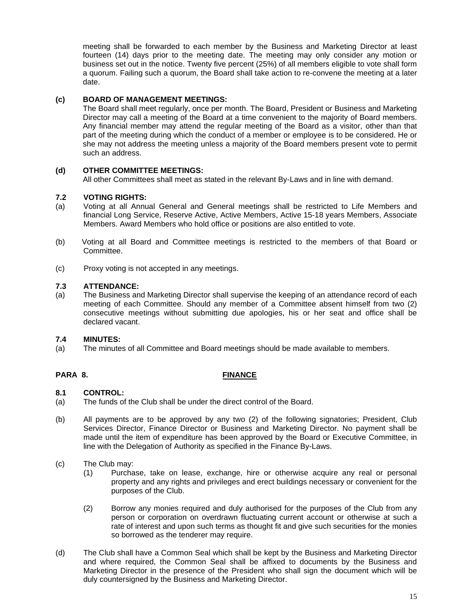meeting shall be forwarded to each member by the Business and Marketing Director at least fourteen (14) days prior to the meeting date. The meeting may only consider any motion or business set out in the notice. Twenty five percent (25%) of all members eligible to vote shall form a quorum. Failing such a quorum, the Board shall take action to re-convene the meeting at a later date.

# **(c) BOARD OF MANAGEMENT MEETINGS:**

The Board shall meet regularly, once per month. The Board, President or Business and Marketing Director may call a meeting of the Board at a time convenient to the majority of Board members. Any financial member may attend the regular meeting of the Board as a visitor, other than that part of the meeting during which the conduct of a member or employee is to be considered. He or she may not address the meeting unless a majority of the Board members present vote to permit such an address.

# **(d) OTHER COMMITTEE MEETINGS:**

All other Committees shall meet as stated in the relevant By-Laws and in line with demand.

# **7.2 VOTING RIGHTS:**

- (a) Voting at all Annual General and General meetings shall be restricted to Life Members and financial Long Service, Reserve Active, Active Members, Active 15-18 years Members, Associate Members. Award Members who hold office or positions are also entitled to vote.
- (b) Voting at all Board and Committee meetings is restricted to the members of that Board or Committee.
- (c) Proxy voting is not accepted in any meetings.

#### **7.3 ATTENDANCE:**

(a) The Business and Marketing Director shall supervise the keeping of an attendance record of each meeting of each Committee. Should any member of a Committee absent himself from two (2) consecutive meetings without submitting due apologies, his or her seat and office shall be declared vacant.

#### **7.4 MINUTES:**

(a) The minutes of all Committee and Board meetings should be made available to members.

#### **PARA 8. FINANCE**

#### **8.1 CONTROL:**

- (a) The funds of the Club shall be under the direct control of the Board.
- (b) All payments are to be approved by any two (2) of the following signatories; President, Club Services Director, Finance Director or Business and Marketing Director. No payment shall be made until the item of expenditure has been approved by the Board or Executive Committee, in line with the Delegation of Authority as specified in the Finance By-Laws.
- (c) The Club may:
	- (1) Purchase, take on lease, exchange, hire or otherwise acquire any real or personal property and any rights and privileges and erect buildings necessary or convenient for the purposes of the Club.
	- (2) Borrow any monies required and duly authorised for the purposes of the Club from any person or corporation on overdrawn fluctuating current account or otherwise at such a rate of interest and upon such terms as thought fit and give such securities for the monies so borrowed as the tenderer may require.
- (d) The Club shall have a Common Seal which shall be kept by the Business and Marketing Director and where required, the Common Seal shall be affixed to documents by the Business and Marketing Director in the presence of the President who shall sign the document which will be duly countersigned by the Business and Marketing Director.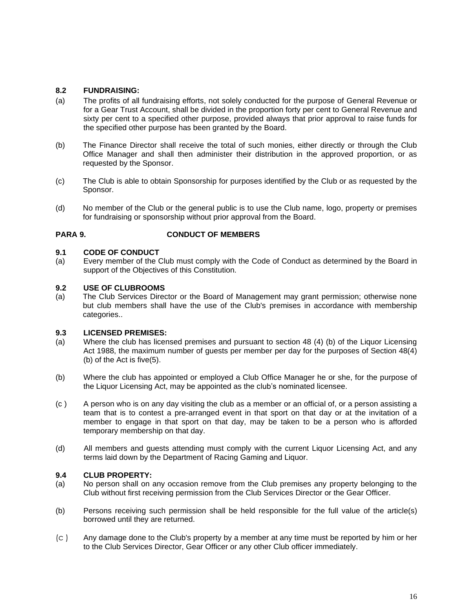# **8.2 FUNDRAISING:**

- (a) The profits of all fundraising efforts, not solely conducted for the purpose of General Revenue or for a Gear Trust Account, shall be divided in the proportion forty per cent to General Revenue and sixty per cent to a specified other purpose, provided always that prior approval to raise funds for the specified other purpose has been granted by the Board.
- (b) The Finance Director shall receive the total of such monies, either directly or through the Club Office Manager and shall then administer their distribution in the approved proportion, or as requested by the Sponsor.
- (c) The Club is able to obtain Sponsorship for purposes identified by the Club or as requested by the Sponsor.
- (d) No member of the Club or the general public is to use the Club name, logo, property or premises for fundraising or sponsorship without prior approval from the Board.

# **PARA 9. CONDUCT OF MEMBERS**

#### **9.1 CODE OF CONDUCT**

(a) Every member of the Club must comply with the Code of Conduct as determined by the Board in support of the Objectives of this Constitution.

#### **9.2 USE OF CLUBROOMS**

(a) The Club Services Director or the Board of Management may grant permission; otherwise none but club members shall have the use of the Club's premises in accordance with membership categories..

#### **9.3 LICENSED PREMISES:**

- (a) Where the club has licensed premises and pursuant to section 48 (4) (b) of the Liquor Licensing Act 1988, the maximum number of guests per member per day for the purposes of Section 48(4) (b) of the Act is five(5).
- (b) Where the club has appointed or employed a Club Office Manager he or she, for the purpose of the Liquor Licensing Act, may be appointed as the club's nominated licensee.
- (c ) A person who is on any day visiting the club as a member or an official of, or a person assisting a team that is to contest a pre-arranged event in that sport on that day or at the invitation of a member to engage in that sport on that day, may be taken to be a person who is afforded temporary membership on that day.
- (d) All members and guests attending must comply with the current Liquor Licensing Act, and any terms laid down by the Department of Racing Gaming and Liquor.

#### **9.4 CLUB PROPERTY:**

- (a) No person shall on any occasion remove from the Club premises any property belonging to the Club without first receiving permission from the Club Services Director or the Gear Officer.
- (b) Persons receiving such permission shall be held responsible for the full value of the article(s) borrowed until they are returned.
- (c ) Any damage done to the Club's property by a member at any time must be reported by him or her to the Club Services Director, Gear Officer or any other Club officer immediately.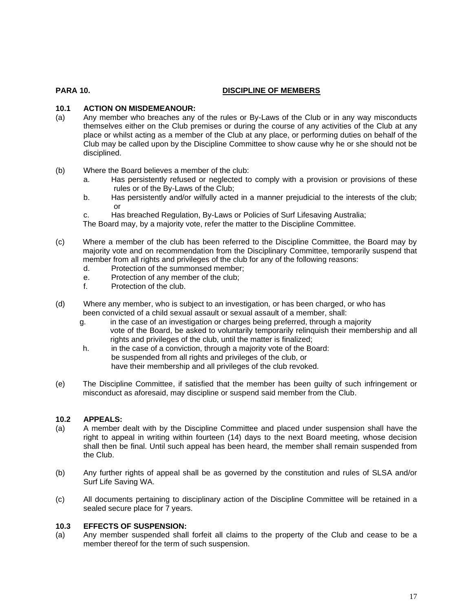# **PARA 10. DISCIPLINE OF MEMBERS**

# **10.1 ACTION ON MISDEMEANOUR:**

- (a) Any member who breaches any of the rules or By-Laws of the Club or in any way misconducts themselves either on the Club premises or during the course of any activities of the Club at any place or whilst acting as a member of the Club at any place, or performing duties on behalf of the Club may be called upon by the Discipline Committee to show cause why he or she should not be disciplined.
- (b) Where the Board believes a member of the club:
	- a. Has persistently refused or neglected to comply with a provision or provisions of these rules or of the By-Laws of the Club;
	- b. Has persistently and/or wilfully acted in a manner prejudicial to the interests of the club; or
	- c. Has breached Regulation, By-Laws or Policies of Surf Lifesaving Australia;
	- The Board may, by a majority vote, refer the matter to the Discipline Committee.
- (c) Where a member of the club has been referred to the Discipline Committee, the Board may by majority vote and on recommendation from the Disciplinary Committee, temporarily suspend that member from all rights and privileges of the club for any of the following reasons:
	- d. Protection of the summonsed member;
	- e. Protection of any member of the club;
	- f. Protection of the club.
- (d) Where any member, who is subject to an investigation, or has been charged, or who has been convicted of a child sexual assault or sexual assault of a member, shall:
	- g. in the case of an investigation or charges being preferred, through a majority vote of the Board, be asked to voluntarily temporarily relinquish their membership and all rights and privileges of the club, until the matter is finalized;
	- h. in the case of a conviction, through a majority vote of the Board: be suspended from all rights and privileges of the club, or have their membership and all privileges of the club revoked.
- (e) The Discipline Committee, if satisfied that the member has been guilty of such infringement or misconduct as aforesaid, may discipline or suspend said member from the Club.

# **10.2 APPEALS:**

- (a) A member dealt with by the Discipline Committee and placed under suspension shall have the right to appeal in writing within fourteen (14) days to the next Board meeting, whose decision shall then be final. Until such appeal has been heard, the member shall remain suspended from the Club.
- (b) Any further rights of appeal shall be as governed by the constitution and rules of SLSA and/or Surf Life Saving WA.
- (c) All documents pertaining to disciplinary action of the Discipline Committee will be retained in a sealed secure place for 7 years.

#### **10.3 EFFECTS OF SUSPENSION:**

(a) Any member suspended shall forfeit all claims to the property of the Club and cease to be a member thereof for the term of such suspension.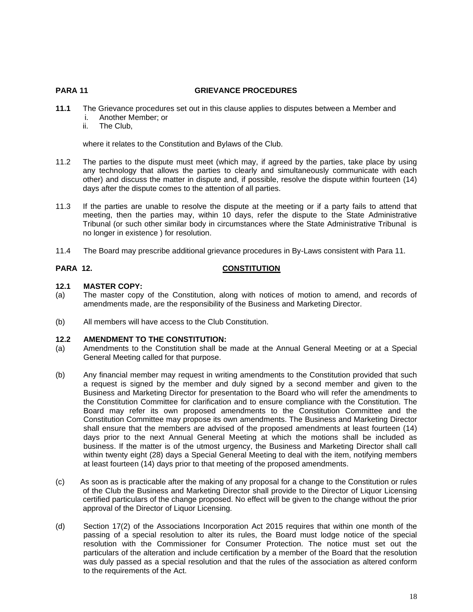#### **PARA 11 GRIEVANCE PROCEDURES**

- **11.1** The Grievance procedures set out in this clause applies to disputes between a Member and
	- i. Another Member; or
	- ii. The Club,

where it relates to the Constitution and Bylaws of the Club.

- 11.2 The parties to the dispute must meet (which may, if agreed by the parties, take place by using any technology that allows the parties to clearly and simultaneously communicate with each other) and discuss the matter in dispute and, if possible, resolve the dispute within fourteen (14) days after the dispute comes to the attention of all parties.
- 11.3 If the parties are unable to resolve the dispute at the meeting or if a party fails to attend that meeting, then the parties may, within 10 days, refer the dispute to the State Administrative Tribunal (or such other similar body in circumstances where the State Administrative Tribunal is no longer in existence ) for resolution.
- 11.4 The Board may prescribe additional grievance procedures in By-Laws consistent with Para 11.

# **PARA 12. CONSTITUTION**

# **12.1 MASTER COPY:**

- (a) The master copy of the Constitution, along with notices of motion to amend, and records of amendments made, are the responsibility of the Business and Marketing Director.
- (b) All members will have access to the Club Constitution.

# **12.2 AMENDMENT TO THE CONSTITUTION:**

- (a) Amendments to the Constitution shall be made at the Annual General Meeting or at a Special General Meeting called for that purpose.
- (b) Any financial member may request in writing amendments to the Constitution provided that such a request is signed by the member and duly signed by a second member and given to the Business and Marketing Director for presentation to the Board who will refer the amendments to the Constitution Committee for clarification and to ensure compliance with the Constitution. The Board may refer its own proposed amendments to the Constitution Committee and the Constitution Committee may propose its own amendments. The Business and Marketing Director shall ensure that the members are advised of the proposed amendments at least fourteen (14) days prior to the next Annual General Meeting at which the motions shall be included as business. If the matter is of the utmost urgency, the Business and Marketing Director shall call within twenty eight (28) days a Special General Meeting to deal with the item, notifying members at least fourteen (14) days prior to that meeting of the proposed amendments.
- (c) As soon as is practicable after the making of any proposal for a change to the Constitution or rules of the Club the Business and Marketing Director shall provide to the Director of Liquor Licensing certified particulars of the change proposed. No effect will be given to the change without the prior approval of the Director of Liquor Licensing.
- (d) Section 17(2) of the Associations Incorporation Act 2015 requires that within one month of the passing of a special resolution to alter its rules, the Board must lodge notice of the special resolution with the Commissioner for Consumer Protection. The notice must set out the particulars of the alteration and include certification by a member of the Board that the resolution was duly passed as a special resolution and that the rules of the association as altered conform to the requirements of the Act.